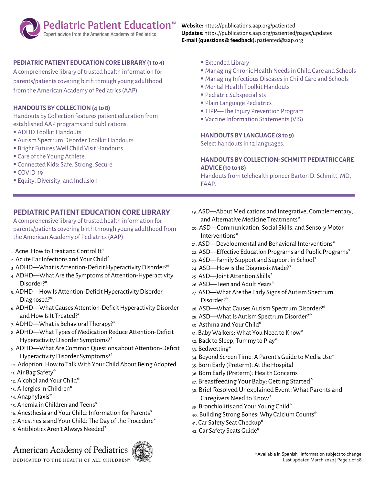# **Pediatric Patient Education**<sup>™</sup><br>Expert advice from the American Academy of Pediatrics

#### **PEDIATRIC PATIENT EDUCATION CORE LIBRARY (1 to 4)**

A comprehensive library of trusted health information for parents/patients covering birth through young adulthood from the American Academy of Pediatrics (AAP).

#### **HANDOUTS BY COLLECTION (4 to 8)**

Handouts by Collection features patient education from established AAP programs and publications.

- **E** ADHD Toolkit Handouts
- Autism Spectrum Disorder Toolkit Handouts
- **Bright Futures Well Child Visit Handouts**
- Care of the Young Athlete
- **Example 2** Connected Kids: Safe, Strong, Secure
- COVID-19
- **Equity, Diversity, and Inclusion**

#### **PEDIATRIC PATIENT EDUCATION CORE LIBRARY**

A comprehensive library of trusted health information for parents/patients covering birth through young adulthood from the American Academy of Pediatrics (AAP).

- 1. Acne: How to Treat and Control It\*
- 2. Acute Ear Infections and Your Child\*
- 3. ADHD—What is Attention-Deficit Hyperactivity Disorder?\*
- 4. ADHD—What Are the Symptoms of Attention-Hyperactivity Disorder?\*
- 5. ADHD—How Is Attention-Deficit Hyperactivity Disorder Diagnosed?\*
- 6. ADHD—What Causes Attention-Deficit Hyperactivity Disorder and How Is It Treated?\*
- 7. ADHD—What is Behavioral Therapy?\*
- 8. ADHD—What Types of Medication Reduce Attention-Deficit Hyperactivity Disorder Symptoms?\*
- 9. ADHD—What Are Common Questions about Attention-Deficit Hyperactivity Disorder Symptoms?\*
- 10. Adoption: How to Talk With Your Child About Being Adopted 11. Air Bag Safety\*
- 12. Alcohol and Your Child\*
- 13. Allergies in Children\*
- 14. Anaphylaxis\*
- 15. Anemia in Children and Teens\*
- 16. Anesthesia and Your Child: Information for Parents\*
- 17. Anesthesia and Your Child: The Day of the Procedure\*
- 18. Antibiotics Aren't Always Needed\*

## American Academy of Pediatrics

DEDICATED TO THE HEALTH OF ALL CHILDREN"



#### **Website:** https://publications.aap.org/patiented **Updates:** https://publications.aap.org/patiented/pages/updates **E-mail (questions & feedback):** patiented@aap.org

- Extended Library
- Managing Chronic Health Needs in Child Care and Schools
- Managing Infectious Diseases in Child Care and Schools
- **E** Mental Health Toolkit Handouts
- Pediatric Subspecialists
- Plain Language Pediatrics
- **TIPP—The Injury Prevention Program**
- Vaccine Information Statements (VIS)

#### **HANDOUTS BY LANGUAGE (8 to 9)**

Select handouts in 12 languages.

#### **HANDOUTS BY COLLECTION: SCHMITT PEDIATRIC CARE ADVICE (10 to 18)**

Handouts from telehealth pioneer Barton D. Schmitt, MD, FAAP.

- 19. ASD—About Medications and Integrative, Complementary, and Alternative Medicine Treatments\*
- 20. ASD—Communication, Social Skills, and Sensory Motor Interventions\*
- 21. ASD—Developmental and Behavioral Interventions\*
- 22. ASD—Effective Education Programs and Public Programs\*
- 23. ASD—Family Support and Support in School\*
- 24. ASD—How is the Diagnosis Made?\*
- 25. ASD—Joint Attention Skills\*
- 26. ASD—Teen and Adult Years\*
- 27. ASD—What Are the Early Signs of Autism Spectrum Disorder?\*
- 28. ASD—What Causes Autism Spectrum Disorder?\*
- 29. ASD—What Is Autism Spectrum Disorder?\*
- 30. Asthma and Your Child\*
- 31. Baby Walkers: What You Need to Know\*
- 32. Back to Sleep, Tummy to Play\*
- 33. Bedwetting\*
- 34. Beyond Screen Time: A Parent's Guide to Media Use\*
- 35. Born Early (Preterm): At the Hospital
- 36. Born Early (Preterm): Health Concerns
- 37. Breastfeeding Your Baby: Getting Started\*
- 38. Brief Resolved Unexplained Event: What Parents and Caregivers Need to Know\*
- 39. Bronchiolitis and Your Young Child\*
- 40. Building Strong Bones: Why Calcium Counts\*
- 41. Car Safety Seat Checkup\*
- 42. Car Safety Seats Guide\*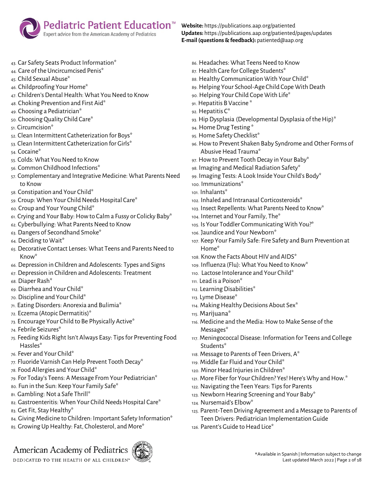

- 43. Car Safety Seats Product Information\*
- 44. Care of the Uncircumcised Penis\*
- 45. Child Sexual Abuse\*
- 46. Childproofing Your Home\*
- 47. Children's Dental Health: What You Need to Know
- 48. Choking Prevention and First Aid\*
- 49. Choosing a Pediatrician\*
- 50. Choosing Quality Child Care\*
- 51. Circumcision\*
- 52. Clean Intermittent Catheterization for Boys\*
- 53. Clean Intermittent Catheterization for Girls\*
- 54. Cocaine\*
- 55. Colds: What You Need to Know
- 56. Common Childhood Infections\*
- 57. Complementary and Integrative Medicine: What Parents Need to Know
- 58. Constipation and Your Child\*
- 59. Croup: When Your Child Needs Hospital Care\*
- 60. Croup and Your Young Child\*
- 61. Crying and Your Baby: How to Calm a Fussy or Colicky Baby\*
- 62. Cyberbullying: What Parents Need to Know
- 63. Dangers of Secondhand Smoke\*
- 64. Deciding to Wait\*
- 65. Decorative Contact Lenses: What Teens and Parents Need to Know\*
- 66. Depression in Children and Adolescents: Types and Signs
- 67. Depression in Children and Adolescents: Treatment
- 68. Diaper Rash\*
- 69. Diarrhea and Your Child\*
- 70. Discipline and Your Child\*
- 71. Eating Disorders: Anorexia and Bulimia\*
- 72. Eczema (Atopic Dermatitis)\*
- 73. Encourage Your Child to Be Physically Active\*
- 74. Febrile Seizures\*
- 75. Feeding Kids Right Isn't Always Easy: Tips for Preventing Food Hassles\*
- 76. Fever and Your Child\*
- 77. Fluoride Varnish Can Help Prevent Tooth Decay\*
- 78. Food Allergies and Your Child\*
- 79. For Today's Teens: A Message From Your Pediatrician\*
- 80. Fun in the Sun: Keep Your Family Safe\*
- 81. Gambling: Not a Safe Thrill\*
- 82. Gastroenteritis: When Your Child Needs Hospital Care\*
- 83. Get Fit, Stay Healthy\*
- 84. Giving Medicine to Children: Important Safety Information\*
- 85. Growing Up Healthy: Fat, Cholesterol, and More\*

### American Academy of Pediatrics



**Website:** https://publications.aap.org/patiented **Updates:** https://publications.aap.org/patiented/pages/updates **E-mail (questions & feedback):** patiented@aap.org

- 86. Headaches: What Teens Need to Know
- 87. Health Care for College Students\*
- 88. Healthy Communication With Your Child\*
- 89. Helping Your School-Age Child Cope With Death
- 90. Helping Your Child Cope With Life\*
- 91. Hepatitis B Vaccine \*
- 92. Hepatitis C\*
- 93. Hip Dysplasia (Developmental Dysplasia of the Hip)\*
- 94. Home Drug Testing \*
- 95. Home Safety Checklist\*
- 96. How to Prevent Shaken Baby Syndrome and Other Forms of Abusive Head Trauma\*
- 97. How to Prevent Tooth Decay in Your Baby\*
- 98. Imaging and Medical Radiation Safety\*
- 99. Imaging Tests: A Look Inside Your Child's Body\*
- 100. Immunizations\*
- 101. Inhalants\*
- 102. Inhaled and Intranasal Corticosteroids\*
- 103. Insect Repellents: What Parents Need to Know\*
- 104. Internet and Your Family, The\*
- 105. Is Your Toddler Communicating With You?\*
- 106. Jaundice and Your Newborn\*
- 107. Keep Your Family Safe: Fire Safety and Burn Prevention at Home\*
- 108. Know the Facts About HIV and AIDS\*
- 109. Influenza (Flu): What You Need to Know\*
- 110. Lactose Intolerance and Your Child\*
- 111. Lead is a Poison\*
- 112. Learning Disabilities\*
- 113. Lyme Disease\*
- 114. Making Healthy Decisions About Sex\*
- 115. Marijuana\*
- 116. Medicine and the Media: How to Make Sense of the Messages\*
- 117. Meningococcal Disease: Information for Teens and College Students\*
- 118. Message to Parents of Teen Drivers, A\*
- 119. Middle Ear Fluid and Your Child\*
- 120. Minor Head Injuries in Children\*
- 121. More Fiber for Your Children? Yes! Here's Why and How.\*
- 122. Navigating the Teen Years: Tips for Parents
- 123. Newborn Hearing Screening and Your Baby\*
- 124. Nursemaid's Elbow\*
- 125. Parent-Teen Driving Agreement and a Message to Parents of Teen Drivers: Pediatrician Implementation Guide
- 126. Parent's Guide to Head Lice\*

DEDICATED TO THE HEALTH OF ALL CHILDREN'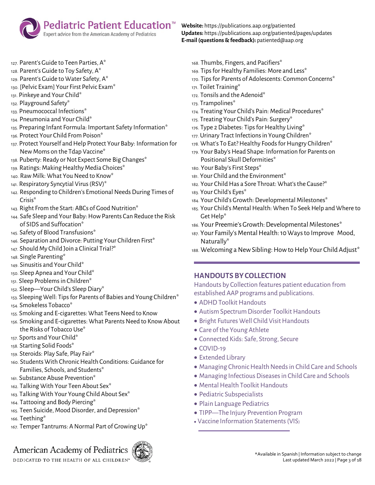

- 127. Parent's Guide to Teen Parties, A\*
- 128. Parent's Guide to Toy Safety, A\*
- 129. Parent's Guide to Water Safety, A\*
- 130. [Pelvic Exam] Your First Pelvic Exam\*
- 131. Pinkeye and Your Child\*
- 132. Playground Safety\*
- 133. Pneumococcal Infections\*
- 134. Pneumonia and Your Child\*
- 135. Preparing Infant Formula: Important Safety Information\*
- 136. Protect Your Child From Poison\*
- 137. Protect Yourself and Help Protect Your Baby: Information for New Moms on the Tdap Vaccine\*
- 138. Puberty: Ready or Not Expect Some Big Changes\*
- 139. Ratings: Making Healthy Media Choices\*
- 140. Raw Milk: What You Need to Know\*
- 141. Respiratory Syncytial Virus (RSV)\*
- 142. Responding to Children's Emotional Needs During Times of Crisis\*
- 143. Right From the Start: ABCs of Good Nutrition\*
- 144. Safe Sleep and Your Baby: How Parents Can Reduce the Risk of SIDS and Suffocation\*
- 145. Safety of Blood Transfusions\*
- 146. Separation and Divorce: Putting Your Children First\*
- 147. Should My Child Join a Clinical Trial?\*
- 148. Single Parenting\*
- 149. Sinusitis and Your Child\*
- 150. Sleep Apnea and Your Child\*
- 151. Sleep Problems in Children\*
- 152. Sleep—Your Child's Sleep Diary\*
- 153. Sleeping Well: Tips for Parents of Babies and Young Children\*
- 154. Smokeless Tobacco\*
- 155. Smoking and E-cigarettes: What Teens Need to Know
- 156. Smoking and E-cigarettes: What Parents Need to Know About the Risks of Tobacco Use\*
- 157. Sports and Your Child\*
- 158. Starting Solid Foods\*
- 159. Steroids: Play Safe, Play Fair\*
- 160. Students With Chronic Health Conditions: Guidance for Families, Schools, and Students\*
- 161. Substance Abuse Prevention\*
- 162. Talking With Your Teen About Sex\*
- 163. Talking With Your Young Child About Sex\*
- 164. Tattooing and Body Piercing\*
- 165. Teen Suicide, Mood Disorder, and Depression\*
- 166. Teething\*
- 167. Temper Tantrums: A Normal Part of Growing Up\*

### American Academy of Pediatrics

DEDICATED TO THE HEALTH OF ALL CHILDREN'



**Website:** https://publications.aap.org/patiented **Updates:** https://publications.aap.org/patiented/pages/updates **E-mail (questions & feedback):** patiented@aap.org

- 168. Thumbs, Fingers, and Pacifiers\*
- 169. Tips for Healthy Families: More and Less\*
- 170. Tips for Parents of Adolescents: Common Concerns\*
- 171. Toilet Training\*
- 172. Tonsils and the Adenoid\*
- 173. Trampolines\*
- 174. Treating Your Child's Pain: Medical Procedures\*
- 175. Treating Your Child's Pain: Surgery\*
- 176. Type 2 Diabetes: Tips for Healthy Living\*
- 177. Urinary Tract Infections in Young Children\*
- 178. What's To Eat? Healthy Foods for Hungry Children\*
- 179. Your Baby's Head Shape: Information for Parents on Positional Skull Deformities\*
- 180. Your Baby's First Steps\*
- 181. Your Child and the Environment\*
- 182. Your Child Has a Sore Throat: What's the Cause?\*
- 183. Your Child's Eyes\*
- 184. Your Child's Growth: Developmental Milestones\*
- 185. Your Child's Mental Health: When To Seek Help and Where to Get Help\*
- 186. Your Preemie's Growth: Developmental Milestones\*
- 187. Your Family's Mental Health: 10 Ways to Improve Mood, Naturally\*
- 188. Welcoming a New Sibling: How to Help Your Child Adjust\*

#### **HANDOUTS BY COLLECTION**

Handouts by Collection features patient education from established AAP programs and publications.

- ADHD Toolkit Handouts
- Autism Spectrum Disorder Toolkit Handouts
- Bright Futures Well Child Visit Handouts
- Care of the Young Athlete
- Connected Kids: Safe, Strong, Secure
- $\bullet$  COVID-19
- Extended Library
- Managing Chronic Health Needs in Child Care and Schools
- Managing Infectious Diseases in Child Care and Schools
- Mental Health Toolkit Handouts
- Pediatric Subspecialists
- Plain Language Pediatrics
- TIPP—The Injury Prevention Program
- Vaccine Information Statements(VIS)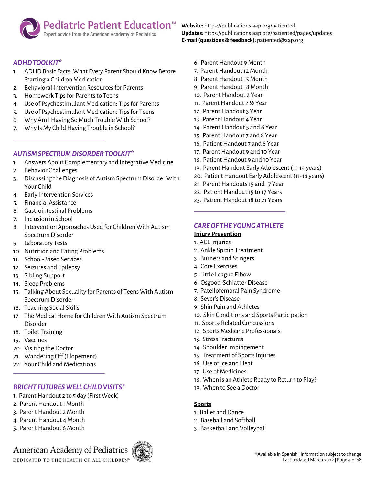#### **Pediatric Patient Education**™ Expert advice from the American Academy of Pediatrics

*ADHD TOOLKIT\**

- 1. ADHD Basic Facts: What Every Parent Should Know Before Starting a Child on Medication
- 2. Behavioral Intervention Resources for Parents
- 3. Homework Tips for Parents to Teens
- 4. Use of Psychostimulant Medication: Tips for Parents
- 5. Use of Psychostimulant Medication: Tips for Teens
- 6. Why Am I Having So Much Trouble With School?
- 7. Why Is My Child Having Trouble in School?

#### *AUTISM SPECTRUM DISORDER TOOLKIT\**

- 1. Answers About Complementary and Integrative Medicine
- 2. Behavior Challenges
- 3. Discussing the Diagnosis of Autism Spectrum Disorder With Your Child
- 4. Early Intervention Services
- 5. Financial Assistance
- 6. Gastrointestinal Problems
- 7. Inclusion in School
- 8. Intervention Approaches Used for Children With Autism Spectrum Disorder
- 9. Laboratory Tests
- 10. Nutrition and Eating Problems
- 11. School-Based Services
- 12. Seizures and Epilepsy
- 13. Sibling Support
- 14. Sleep Problems
- 15. Talking About Sexuality for Parents of Teens With Autism Spectrum Disorder
- 16. Teaching Social Skills
- 17. The Medical Home for Children With Autism Spectrum Disorder
- 18. Toilet Training
- 19. Vaccines
- 20. Visiting the Doctor
- 21. Wandering Off (Elopement)
- 22. Your Child and Medications

#### *BRIGHT FUTURES WELL CHILD VISITS\**

- 1. Parent Handout 2 to 5 day (First Week)
- 2. Parent Handout 1 Month
- 3. Parent Handout 2 Month
- 4. Parent Handout 4 Month
- 5. Parent Handout 6 Month

## American Academy of Pediatrics



**Website:** https://publications.aap.org/patiented **Updates:** https://publications.aap.org/patiented/pages/updates **E-mail (questions & feedback):** patiented@aap.org

- 6. Parent Handout 9 Month
- 7. Parent Handout 12 Month
- 8. Parent Handout 15 Month
- 9. Parent Handout 18 Month
- 10. Parent Handout 2 Year
- 11. Parent Handout 2 ½ Year
- 12. Parent Handout 3 Year
- 13. Parent Handout 4 Year
- 14. Parent Handout 5 and 6 Year
- 15. Parent Handout 7 and 8 Year
- 16. Patient Handout 7 and 8 Year
- 17. Parent Handout 9 and 10 Year
- 18. Patient Handout 9 and 10 Year
- 19. Parent Handout Early Adolescent (11-14 years)
- 20. Patient Handout Early Adolescent (11-14 years)
- 21. Parent Handouts 15 and 17 Year
- 22. Patient Handout 15 to 17 Years
- 23. Patient Handout 18 to 21 Years

#### *CARE OF THE YOUNG ATHLETE*

#### **Injury Prevention**

- 1. ACL Injuries
- 2. Ankle Sprain Treatment
- 3. Burners and Stingers
- 4. Core Exercises
- 5. Little League Elbow
- 6. Osgood-Schlatter Disease
- 7. Patellofemoral Pain Syndrome
- 8. Sever's Disease
- 9. Shin Pain and Athletes
- 10. Skin Conditions and Sports Participation
- 11. Sports-Related Concussions
- 12. Sports Medicine Professionals
- 13. Stress Fractures
- 14. Shoulder Impingement
- 15. Treatment of Sports Injuries
- 16. Use of Ice and Heat
- 17. Use of Medicines
- 18. When is an Athlete Ready to Return to Play?
- 19. When to See a Doctor

#### **Sports**

- 1. Ballet and Dance
- 2. Baseball and Softball
- 3. Basketball and Volleyball

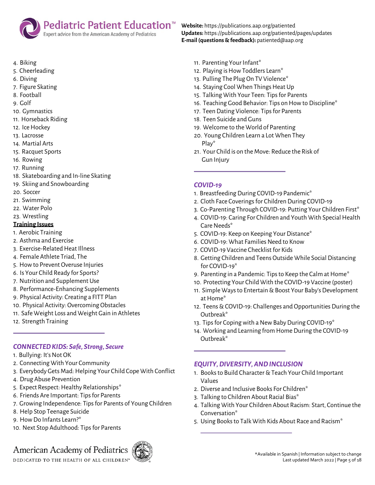

- 4. Biking
- 5. Cheerleading
- 6. Diving
- 7. Figure Skating
- 8. Football
- 9. Golf
- 10. Gymnastics
- 11. Horseback Riding
- 12. Ice Hockey
- 13. Lacrosse
- 14. Martial Arts
- 15. Racquet Sports
- 16. Rowing
- 17. Running
- 18. Skateboarding and In-line Skating
- 19. Skiing and Snowboarding
- 20. Soccer
- 21. Swimming
- 22. Water Polo
- 23. Wrestling

#### **Training Issues**

- 1. Aerobic Training
- 2. Asthma and Exercise
- 3. Exercise-Related Heat Illness
- 4. Female Athlete Triad, The
- 5. How to Prevent Overuse Injuries
- 6. Is Your Child Ready for Sports?
- 7. Nutrition and Supplement Use
- 8. Performance-Enhancing Supplements
- 9. Physical Activity: Creating a FITT Plan
- 10. Physical Activity: Overcoming Obstacles
- 11. Safe Weight Loss and Weight Gain in Athletes
- 12. Strength Training

#### *CONNECTED KIDS: Safe, Strong, Secure*

- 1. Bullying: It's Not OK
- 2. Connecting With Your Community
- 3. Everybody Gets Mad: Helping Your Child Cope With Conflict
- 4. Drug Abuse Prevention
- 5. Expect Respect: Healthy Relationships\*
- 6. Friends Are Important: Tips for Parents
- 7. Growing Independence: Tips for Parents of Young Children
- 8. Help Stop Teenage Suicide
- 9. How Do Infants Learn?\*
- 10. Next Stop Adulthood: Tips for Parents

### American Academy of Pediatrics

DEDICATED TO THE HEALTH OF ALL CHILDREN"



**Website:** https://publications.aap.org/patiented **Updates:** https://publications.aap.org/patiented/pages/updates **E-mail (questions & feedback):** patiented@aap.org

- 11. Parenting Your Infant\*
- 12. Playing is How Toddlers Learn\*
- 13. Pulling The Plug On TV Violence\*
- 14. Staying Cool When Things Heat Up
- 15. Talking With Your Teen: Tips for Parents
- 16. Teaching Good Behavior: Tips on How to Discipline\*
- 17. Teen Dating Violence: Tips for Parents
- 18. Teen Suicide and Guns
- 19. Welcome to the World of Parenting
- 20. Young Children Learn a Lot When They Play\*
- 21. Your Child is on the Move: Reduce the Risk of Gun Injury

#### *COVID-19*

- 1. Breastfeeding During COVID-19 Pandemic\*
- 2. Cloth Face Coverings for Children During COVID-19
- 3. Co-Parenting Through COVID-19: Putting Your Children First\*
- 4. COVID-19: Caring For Children and Youth With Special Health Care Needs\*
- 5. COVID-19: Keep on Keeping Your Distance\*
- 6. COVID-19: What Families Need to Know
- 7. COVID-19 Vaccine Checklist for Kids
- 8. Getting Children and Teens Outside While Social Distancing for COVID-19\*
- 9. Parenting in a Pandemic: Tips to Keep the Calm at Home\*
- 10. Protecting Your Child With the COVID-19 Vaccine (poster)
- 11. Simple Ways to Entertain & Boost Your Baby's Development at Home\*
- 12. Teens & COVID-19: Challenges and Opportunities During the Outbreak\*
- 13. Tips for Coping with a New Baby During COVID-19\*
- 14. Working and Learning from Home During the COVID-19 Outbreak\*

#### *EQUITY, DIVERSITY, AND INCLUSION*

- 1. Books to Build Character & Teach Your Child Important Values
- 2. Diverse and Inclusive Books For Children\*
- 3. Talking to Children About Racial Bias\*
- 4. Talking With Your Children About Racism: Start, Continue the Conversation\*
- 5. Using Books to Talk With Kids About Race and Racism\*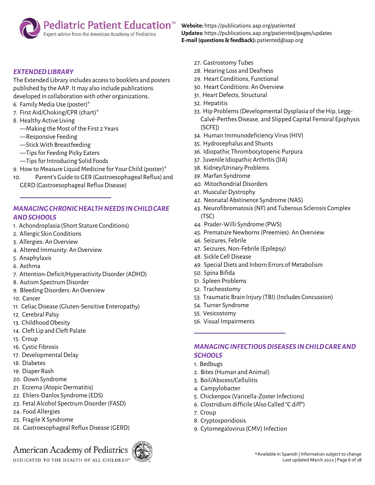#### **Pediatric Patient Education**™ Expert advice from the American Academy of Pediatrics

*EXTENDED LIBRARY*

The Extended Library includes access to booklets and posters published by the AAP. It may also include publications developed in collaboration with other organizations.

- 6. Family Media Use (poster)\*
- 7. First Aid/Choking/CPR (chart)\*
- 8. Healthy Active Living
	- —Making the Most of the First 2 Years
	- —Responsive Feeding
	- —Stick With Breastfeeding
	- —Tips for Feeding Picky Eaters
	- —Tips for Introducing Solid Foods
- 9. How to Measure Liquid Medicine for Your Child (poster)\*
- 10. Parent's Guide to GER (Gastroesophageal Reflux) and GERD (Gastroesophageal Reflux Disease)

#### *MANAGING CHRONIC HEALTH NEEDS IN CHILD CARE AND SCHOOLS*

- 1. Achondroplasia (Short Stature Conditions)
- 2. Allergic Skin Conditions
- 3. Allergies: An Overview
- 4. Altered Immunity: An Overview
- 5. Anaphylaxis
- 6. Asthma
- 7. Attention-Deficit/Hyperactivity Disorder (ADHD)
- 8. Autism Spectrum Disorder
- 9. Bleeding Disorders: An Overview
- 10. Cancer
- 11. Celiac Disease (Gluten-Sensitive Enteropathy)
- 12. Cerebral Palsy
- 13. Childhood Obesity
- 14. Cleft Lip and Cleft Palate
- 15. Croup
- 16. Cystic Fibrosis
- 17. Developmental Delay
- 18. Diabetes
- 19. Diaper Rash
- 20. Down Syndrome
- 21. Eczema (Atopic Dermatitis)
- 22. Ehlers-Danlos Syndrome (EDS)
- 23. Fetal Alcohol Spectrum Disorder (FASD)
- 24. Food Allergies
- 25. Fragile X Syndrome
- 26. Gastroesophageal Reflux Disease (GERD)

### American Academy of Pediatrics

DEDICATED TO THE HEALTH OF ALL CHILDREN'



**Website:** https://publications.aap.org/patiented **Updates:** https://publications.aap.org/patiented/pages/updates **E-mail (questions & feedback):** patiented@aap.org

- 27. Gastrostomy Tubes
- 28. Hearing Loss and Deafness
- 29. Heart Conditions, Functional
- 30. Heart Conditions: An Overview
- 31. Heart Defects, Structural
- 32. Hepatitis
- 33. Hip Problems (Developmental Dysplasia of the Hip, Legg-Calvé-Perthes Disease, and Slipped Capital Femoral Epiphysis [SCFE])
- 34. Human Immunodeficiency Virus (HIV)
- 35. Hydrocephalus and Shunts
- 36. Idiopathic Thrombocytopenic Purpura
- 37. Juvenile Idiopathic Arthritis (JIA)
- 38. Kidney/Urinary Problems
- 39. Marfan Syndrome
- 40. Mitochondrial Disorders
- 41. Muscular Dystrophy
- 42. Neonatal Abstinence Syndrome (NAS)
- 43. Neurofibromatosis (NF) and Tuberous Sclerosis Complex (TSC)
- 44. Prader-Willi Syndrome (PWS)
- 45. Premature Newborns (Preemies): An Overview
- 46. Seizures, Febrile
- 47. Seizures, Non-Febrile (Epilepsy)
- 48. Sickle Cell Disease
- 49. Special Diets and Inborn Errors of Metabolism
- 50. Spina Bifida
- 51. Spleen Problems
- 52. Tracheostomy
- 53. Traumatic Brain Injury (TBI) (Includes Concussion)
- 54. Turner Syndrome
- 55. Vesicostomy
- 56. Visual Impairments

#### *MANAGING INFECTIOUS DISEASES IN CHILD CARE AND SCHOOLS*

- 1. Bedbugs
- 2. Bites (Human and Animal)
- 3. Boil/Abscess/Cellulitis
- 4. Campylobacter
- 5. Chickenpox (Varicella-Zoster Infections)
- 6. Clostridium difficile (Also Called "C diff")
- 7. Croup
- 8. Cryptosporidiosis
- 9. Cytomegalovirus (CMV) Infection

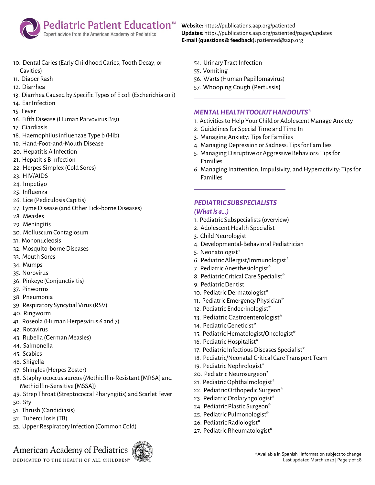

- 10. Dental Caries (Early Childhood Caries, Tooth Decay, or Cavities)
- 11. Diaper Rash
- 12. Diarrhea
- 13. Diarrhea Caused by Specific Types of E coli (Escherichia coli)
- 14. Ear Infection
- 15. Fever
- 16. Fifth Disease (Human Parvovirus B19)
- 17. Giardiasis
- 18. Haemophilus influenzae Type b (Hib)
- 19. Hand-Foot-and-Mouth Disease
- 20. Hepatitis A Infection
- 21. Hepatitis B Infection
- 22. Herpes Simplex (Cold Sores)
- 23. HIV/AIDS
- 24. Impetigo
- 25. Influenza
- 26. Lice (Pediculosis Capitis)
- 27. Lyme Disease (and Other Tick-borne Diseases)
- 28. Measles
- 29. Meningitis
- 30. Molluscum Contagiosum
- 31. Mononucleosis
- 32. Mosquito-borne Diseases
- 33. Mouth Sores
- 34. Mumps
- 35. Norovirus
- 36. Pinkeye (Conjunctivitis)
- 37. Pinworms
- 38. Pneumonia
- 39. Respiratory Syncytial Virus (RSV)
- 40. Ringworm
- 41. Roseola (Human Herpesvirus 6 and 7)
- 42. Rotavirus
- 43. Rubella (German Measles)
- 44. Salmonella
- 45. Scabies
- 46. Shigella
- 47. Shingles (Herpes Zoster)
- 48. Staphylococcus aureus (Methicillin-Resistant [MRSA] and Methicillin-Sensitive [MSSA])
- 49. Strep Throat (Streptococcal Pharyngitis) and Scarlet Fever
- 50. Sty
- 51. Thrush (Candidiasis)
- 52. Tuberculosis (TB)
- 53. Upper Respiratory Infection (Common Cold)

## American Academy of Pediatrics

DEDICATED TO THE HEALTH OF ALL CHILDREN'



**Website:** https://publications.aap.org/patiented **Updates:** https://publications.aap.org/patiented/pages/updates **E-mail (questions & feedback):** patiented@aap.org

- 54. Urinary Tract Infection
- 55. Vomiting
- 56. Warts (Human Papillomavirus)
- 57. Whooping Cough (Pertussis)

#### *MENTAL HEALTH TOOLKIT HANDOUTS\**

- 1. Activities to Help Your Child or Adolescent Manage Anxiety
- 2. Guidelines for Special Time and Time In
- 3. Managing Anxiety: Tips for Families
- 4. Managing Depression or Sadness: Tips for Families
- 5. Managing Disruptive or Aggressive Behaviors: Tips for Families
- 6. Managing Inattention, Impulsivity, and Hyperactivity: Tips for Families

#### *PEDIATRIC SUBSPECIALISTS*

#### *(What is a…)*

- 1. Pediatric Subspecialists (overview)
- 2. Adolescent Health Specialist
- 3. Child Neurologist
- 4. Developmental-Behavioral Pediatrician
- 5. Neonatologist\*
- 6. Pediatric Allergist/Immunologist\*
- 7. Pediatric Anesthesiologist\*
- 8. Pediatric Critical Care Specialist\*
- 9. Pediatric Dentist
- 10. Pediatric Dermatologist\*
- 11. Pediatric Emergency Physician\*
- 12. Pediatric Endocrinologist\*
- 13. Pediatric Gastroenterologist\*
- 14. Pediatric Geneticist\*
- 15. Pediatric Hematologist/Oncologist\*
- 16. Pediatric Hospitalist\*
- 17. Pediatric Infectious Diseases Specialist\*
- 18. Pediatric/Neonatal Critical Care Transport Team
- 19. Pediatric Nephrologist\*
- 20. Pediatric Neurosurgeon\*
- 21. Pediatric Ophthalmologist\*
- 22. Pediatric Orthopedic Surgeon\*
- 23. Pediatric Otolaryngologist\*
- 24. Pediatric Plastic Surgeon\*
- 25. Pediatric Pulmonologist\*
- 26. Pediatric Radiologist\*
- 27. Pediatric Rheumatologist\*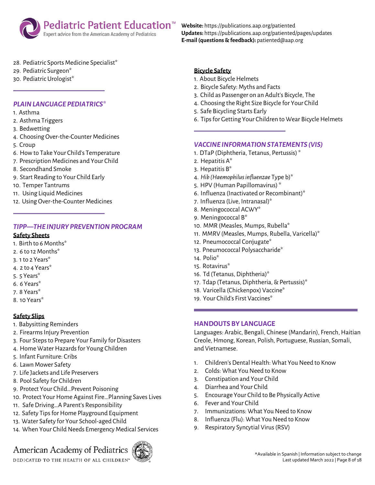

**Website:** https://publications.aap.org/patiented **Updates:** https://publications.aap.org/patiented/pages/updates **E-mail (questions & feedback):** patiented@aap.org

- 28. Pediatric Sports Medicine Specialist\*
- 29. Pediatric Surgeon\*
- 30. Pediatric Urologist\*

#### *PLAIN LANGUAGE PEDIATRICS\**

- 1. Asthma
- 2. Asthma Triggers
- 3. Bedwetting
- 4. Choosing Over-the-Counter Medicines
- 5. Croup
- 6. How to Take Your Child's Temperature
- 7. Prescription Medicines and Your Child
- 8. Secondhand Smoke
- 9. Start Reading to Your Child Early
- 10. Temper Tantrums
- 11. Using Liquid Medicines
- 12. Using Over-the-Counter Medicines

#### *TIPP—THE INJURY PREVENTION PROGRAM*

#### **Safety Sheets**

- 1. Birth to 6 Months\*
- 2. 6 to 12 Months\*
- 3. 1 to 2 Years\*
- 4. 2 to 4 Years\*
- 5. 5 Years\*
- 6. 6 Years\*
- 7. 8 Years\*
- 8. 10 Years\*

#### **Safety Slips**

- 1. Babysitting Reminders
- 2. Firearms Injury Prevention
- 3. Four Steps to Prepare Your Family for Disasters
- 4. Home Water Hazards for Young Children
- 5. Infant Furniture: Cribs
- 6. Lawn Mower Safety
- 7. Life Jackets and Life Preservers
- 8. Pool Safety for Children
- 9. Protect Your Child…Prevent Poisoning
- 10. Protect Your Home Against Fire…Planning Saves Lives
- 11. Safe Driving…A Parent's Responsibility
- 12. Safety Tips for Home Playground Equipment
- 13. Water Safety for Your School-aged Child
- 14. When Your Child Needs Emergency Medical Services

### American Academy of Pediatrics

DEDICATED TO THE HEALTH OF ALL CHILDREN'



#### **Bicycle Safety**

- 1. About Bicycle Helmets
- 2. Bicycle Safety: Myths and Facts
- 3. Child as Passenger on an Adult's Bicycle, The
- 4. Choosing the Right Size Bicycle for Your Child
- 5. Safe Bicycling Starts Early
- 6. Tips for Getting Your Children to Wear Bicycle Helmets

#### *VACCINE INFORMATION STATEMENTS (VIS)*

- 1. DTaP (Diphtheria, Tetanus, Pertussis)\*
- 2. Hepatitis A\*
- 3. Hepatitis B\*
- 4. *Hib (Haemophilus influenzae* Type b)\*
- 5. HPV (Human Papillomavirus) \*
- 6. Influenza (Inactivated or Recombinant)\*
- 7. Influenza (Live, Intranasal)\*
- 8. Meningococcal ACWY\*
- 9. Meningococcal B\*
- 10. MMR (Measles, Mumps, Rubella\*
- 11. MMRV (Measles, Mumps, Rubella, Varicella)\*
- 12. Pneumococcal Conjugate\*
- 13. Pneumococcal Polysaccharide\*
- 14. Polio\*
- 15. Rotavirus\*
- 16. Td (Tetanus, Diphtheria)\*
- 17. Tdap (Tetanus, Diphtheria, & Pertussis)\*
- 18. Varicella (Chickenpox) Vaccine\*
- 19. Your Child's First Vaccines\*

#### **HANDOUTS BY LANGUAGE**

Languages: Arabic, Bengali, Chinese (Mandarin), French, Haitian Creole, Hmong, Korean, Polish, Portuguese, Russian, Somali, and Vietnamese.

- 1. Children's Dental Health: What You Need to Know
- 2. Colds: What You Need to Know
- 3. Constipation and Your Child
- 4. Diarrhea and Your Child
- 5. Encourage Your Child to Be Physically Active
- 6. Fever and Your Child
- 7. Immunizations: What You Need to Know
- 8. Influenza (Flu): What You Need to Know
- 9. Respiratory Syncytial Virus (RSV)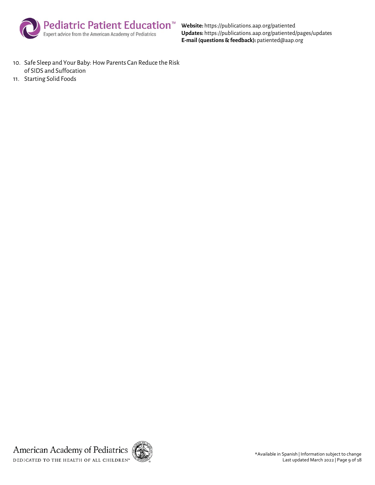

**Website:** https://publications.aap.org/patiented **Updates:** https://publications.aap.org/patiented/pages/updates **E-mail (questions & feedback):** patiented@aap.org

- 10. Safe Sleep and Your Baby: How Parents Can Reduce the Risk of SIDS and Suffocation
- 11. Starting Solid Foods

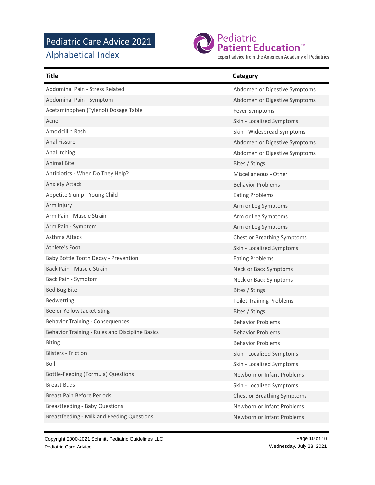### Pediatric Care Advice 2021

Alphabetical Index



Expert advice from the American Academy of Pediatrics

| Title                                           | Category                           |
|-------------------------------------------------|------------------------------------|
| Abdominal Pain - Stress Related                 | Abdomen or Digestive Symptoms      |
| Abdominal Pain - Symptom                        | Abdomen or Digestive Symptoms      |
| Acetaminophen (Tylenol) Dosage Table            | Fever Symptoms                     |
| Acne                                            | Skin - Localized Symptoms          |
| Amoxicillin Rash                                | Skin - Widespread Symptoms         |
| <b>Anal Fissure</b>                             | Abdomen or Digestive Symptoms      |
| Anal Itching                                    | Abdomen or Digestive Symptoms      |
| <b>Animal Bite</b>                              | Bites / Stings                     |
| Antibiotics - When Do They Help?                | Miscellaneous - Other              |
| <b>Anxiety Attack</b>                           | <b>Behavior Problems</b>           |
| Appetite Slump - Young Child                    | <b>Eating Problems</b>             |
| Arm Injury                                      | Arm or Leg Symptoms                |
| Arm Pain - Muscle Strain                        | Arm or Leg Symptoms                |
| Arm Pain - Symptom                              | Arm or Leg Symptoms                |
| Asthma Attack                                   | <b>Chest or Breathing Symptoms</b> |
| Athlete's Foot                                  | Skin - Localized Symptoms          |
| Baby Bottle Tooth Decay - Prevention            | <b>Eating Problems</b>             |
| Back Pain - Muscle Strain                       | Neck or Back Symptoms              |
| Back Pain - Symptom                             | Neck or Back Symptoms              |
| <b>Bed Bug Bite</b>                             | Bites / Stings                     |
| Bedwetting                                      | <b>Toilet Training Problems</b>    |
| Bee or Yellow Jacket Sting                      | Bites / Stings                     |
| <b>Behavior Training - Consequences</b>         | <b>Behavior Problems</b>           |
| Behavior Training - Rules and Discipline Basics | <b>Behavior Problems</b>           |
| <b>Biting</b>                                   | <b>Behavior Problems</b>           |
| <b>Blisters - Friction</b>                      | Skin - Localized Symptoms          |
| Boil                                            | Skin - Localized Symptoms          |
| Bottle-Feeding (Formula) Questions              | Newborn or Infant Problems         |
| <b>Breast Buds</b>                              | Skin - Localized Symptoms          |
| <b>Breast Pain Before Periods</b>               | <b>Chest or Breathing Symptoms</b> |
| <b>Breastfeeding - Baby Questions</b>           | Newborn or Infant Problems         |
| Breastfeeding - Milk and Feeding Questions      | Newborn or Infant Problems         |

Copyright 2000-2021 Schmitt Pediatric Guidelines LLC Pediatric Care Advice

Page 10 of 18 Wednesday, July 28, 2021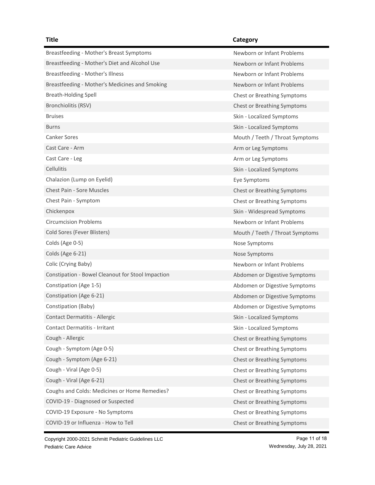| Breastfeeding - Mother's Breast Symptoms          | Newborn or Infant Problems         |
|---------------------------------------------------|------------------------------------|
| Breastfeeding - Mother's Diet and Alcohol Use     | Newborn or Infant Problems         |
| Breastfeeding - Mother's Illness                  | Newborn or Infant Problems         |
| Breastfeeding - Mother's Medicines and Smoking    | Newborn or Infant Problems         |
| <b>Breath-Holding Spell</b>                       | Chest or Breathing Symptoms        |
| Bronchiolitis (RSV)                               | Chest or Breathing Symptoms        |
| <b>Bruises</b>                                    | Skin - Localized Symptoms          |
| <b>Burns</b>                                      | Skin - Localized Symptoms          |
| <b>Canker Sores</b>                               | Mouth / Teeth / Throat Symptoms    |
| Cast Care - Arm                                   | Arm or Leg Symptoms                |
| Cast Care - Leg                                   | Arm or Leg Symptoms                |
| <b>Cellulitis</b>                                 | Skin - Localized Symptoms          |
| Chalazion (Lump on Eyelid)                        | Eye Symptoms                       |
| <b>Chest Pain - Sore Muscles</b>                  | <b>Chest or Breathing Symptoms</b> |
| Chest Pain - Symptom                              | <b>Chest or Breathing Symptoms</b> |
| Chickenpox                                        | Skin - Widespread Symptoms         |
| <b>Circumcision Problems</b>                      | Newborn or Infant Problems         |
| Cold Sores (Fever Blisters)                       | Mouth / Teeth / Throat Symptoms    |
| Colds (Age 0-5)                                   | Nose Symptoms                      |
| Colds (Age 6-21)                                  | Nose Symptoms                      |
| Colic (Crying Baby)                               | Newborn or Infant Problems         |
| Constipation - Bowel Cleanout for Stool Impaction | Abdomen or Digestive Symptoms      |
| Constipation (Age 1-5)                            | Abdomen or Digestive Symptoms      |
| Constipation (Age 6-21)                           | Abdomen or Digestive Symptoms      |
| Constipation (Baby)                               | Abdomen or Digestive Symptoms      |
| <b>Contact Dermatitis - Allergic</b>              | Skin - Localized Symptoms          |
| <b>Contact Dermatitis - Irritant</b>              | Skin - Localized Symptoms          |
| Cough - Allergic                                  | Chest or Breathing Symptoms        |
| Cough - Symptom (Age 0-5)                         | <b>Chest or Breathing Symptoms</b> |
| Cough - Symptom (Age 6-21)                        | <b>Chest or Breathing Symptoms</b> |
| Cough - Viral (Age 0-5)                           | Chest or Breathing Symptoms        |
| Cough - Viral (Age 6-21)                          | Chest or Breathing Symptoms        |
| Coughs and Colds: Medicines or Home Remedies?     | <b>Chest or Breathing Symptoms</b> |
| COVID-19 - Diagnosed or Suspected                 | Chest or Breathing Symptoms        |
| COVID-19 Exposure - No Symptoms                   | <b>Chest or Breathing Symptoms</b> |
| COVID-19 or Influenza - How to Tell               | Chest or Breathing Symptoms        |

Copyright 2000-2021 Schmitt Pediatric Guidelines LLC Pediatric Care Advice

Page 11 of 18 Wednesday, July 28, 2021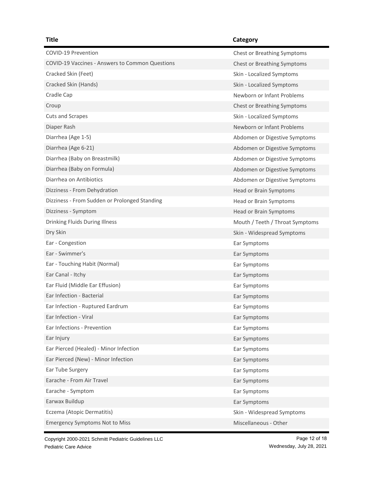### COVID-19 Prevention COVID-19 Prevention COVID-19 Vaccines - Answers to Common Questions Chest or Breathing Symptoms Cracked Skin (Feet) School School Skin - Localized Symptoms Cracked Skin (Hands) Skin - Localized Symptoms Skin - Localized Symptoms Cradle Cap Newborn or Infant Problems **Croup Chest or Breathing Symptoms** Chest or Breathing Symptoms Chest or Breathing Symptoms Chest or Breathing Symptoms **Chest** Cuts and Scrapes Skin - Localized Symptoms Skin - Localized Symptoms Diaper Rash Newborn or Infant Problems Diarrhea (Age 1-5) **Abdomen or Digestive Symptoms** Abdomen or Digestive Symptoms Diarrhea (Age 6-21) **Abdomen or Digestive Symptoms** Charles Controller and Abdomen or Digestive Symptoms Diarrhea (Baby on Breastmilk) and Abdomen or Digestive Symptoms Diarrhea (Baby on Formula) and a strong of the Abdomen or Digestive Symptoms and Abdomen or Digestive Symptoms Diarrhea on Antibiotics **Abdomen or Digestive Symptoms** Dizziness - From Dehydration **Head or Brain Symptoms Head or Brain Symptoms** Dizziness - From Sudden or Prolonged Standing Head or Brain Symptoms Dizziness - Symptom Head or Brain Symptoms Drinking Fluids During Illness **Mouth / Teeth / Throat Symptoms** Mouth / Teeth / Throat Symptoms Dry Skin Skin - Widespread Symptoms Ear - Congestion **Ear Symptoms** Ear - Swimmer's Ear Symptoms Ear Symptoms Ear Symptoms Ear Symptoms Ear Symptoms Ear Symptoms Ear Symptoms Ear Ear - Touching Habit (Normal) Ear Symptoms Ear Canal - Itchy Ear Symptoms Canal - Itchy Ear Fluid (Middle Ear Effusion) Ear Symptoms Ear Infection - Bacterial Ear Symptoms and Ear Symptoms and Ear Symptoms and Ear Symptoms and Ear Symptoms and Ear Symptoms and Ear Symptoms and Ear Symptoms and Ear Symptoms and Ear Symptoms and Early and Early and Early Ear Infection - Ruptured Eardrum **Early 1986** Early Early Symptoms Ear Infection - Viral **Ear Symptoms** Ear Infections - Prevention **Ear Symptoms** Ear Injury **Early Early 2008** Early 2009 and 2008 Early 2009 and 2009 and 2009 and 2009 and 2009 and 2009 and 200 Ear Pierced (Healed) - Minor Infection Ear Symptoms Ear Symptoms Ear Pierced (New) - Minor Infection Ear Symptoms Ear Symptoms Ear Tube Surgery **Ear Symptoms** Earache - From Air Travel **Earache - From Air Travel** Earache - Symptom Ear Symptoms Earwax Buildup **Earwax Buildup** Earch 2012 12:30 and 2012 12:30 and 2012 12:30 and 2012 12:30 and 2012 12:30 and 2012 12:30 and 2012 12:30 and 2012 12:30 and 2012 12:30 and 2012 12:30 and 2012 12:30 and 2012 12:30 and 2012 Eczema (Atopic Dermatitis) Skin - Widespread Symptoms Emergency Symptoms Not to Miss Miscellaneous - Other Miscellaneous - Other

Copyright 2000-2021 Schmitt Pediatric Guidelines LLC Pediatric Care Advice

Page 12 of 18 Wednesday, July 28, 2021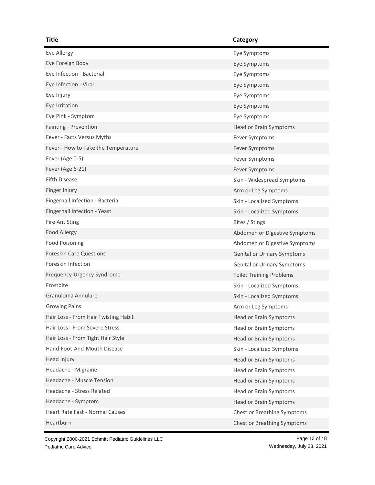| Title                                | Category                        |
|--------------------------------------|---------------------------------|
| Eye Allergy                          | Eye Symptoms                    |
| Eye Foreign Body                     | Eye Symptoms                    |
| Eye Infection - Bacterial            | Eye Symptoms                    |
| Eye Infection - Viral                | Eye Symptoms                    |
| Eye Injury                           | Eye Symptoms                    |
| Eye Irritation                       | Eye Symptoms                    |
| Eye Pink - Symptom                   | Eye Symptoms                    |
| Fainting - Prevention                | Head or Brain Symptoms          |
| Fever - Facts Versus Myths           | Fever Symptoms                  |
| Fever - How to Take the Temperature  | Fever Symptoms                  |
| Fever (Age 0-5)                      | Fever Symptoms                  |
| Fever (Age 6-21)                     | Fever Symptoms                  |
| <b>Fifth Disease</b>                 | Skin - Widespread Symptoms      |
| Finger Injury                        | Arm or Leg Symptoms             |
| Fingernail Infection - Bacterial     | Skin - Localized Symptoms       |
| Fingernail Infection - Yeast         | Skin - Localized Symptoms       |
| Fire Ant Sting                       | Bites / Stings                  |
| <b>Food Allergy</b>                  | Abdomen or Digestive Symptoms   |
| Food Poisoning                       | Abdomen or Digestive Symptoms   |
| <b>Foreskin Care Questions</b>       | Genital or Urinary Symptoms     |
| Foreskin Infection                   | Genital or Urinary Symptoms     |
| Frequency-Urgency Syndrome           | <b>Toilet Training Problems</b> |
| Frostbite                            | Skin - Localized Symptoms       |
| Granuloma Annulare                   | Skin - Localized Symptoms       |
| <b>Growing Pains</b>                 | Arm or Leg Symptoms             |
| Hair Loss - From Hair Twisting Habit | Head or Brain Symptoms          |
| Hair Loss - From Severe Stress       | <b>Head or Brain Symptoms</b>   |
| Hair Loss - From Tight Hair Style    | <b>Head or Brain Symptoms</b>   |
| Hand-Foot-And-Mouth Disease          | Skin - Localized Symptoms       |
| Head Injury                          | Head or Brain Symptoms          |
| Headache - Migraine                  | <b>Head or Brain Symptoms</b>   |
| Headache - Muscle Tension            | <b>Head or Brain Symptoms</b>   |
| Headache - Stress Related            | Head or Brain Symptoms          |
| Headache - Symptom                   | <b>Head or Brain Symptoms</b>   |
| Heart Rate Fast - Normal Causes      | Chest or Breathing Symptoms     |
| Heartburn                            | Chest or Breathing Symptoms     |

Copyright 2000-2021 Schmitt Pediatric Guidelines LLC Pediatric Care Advice

Page 13 of 18 Wednesday, July 28, 2021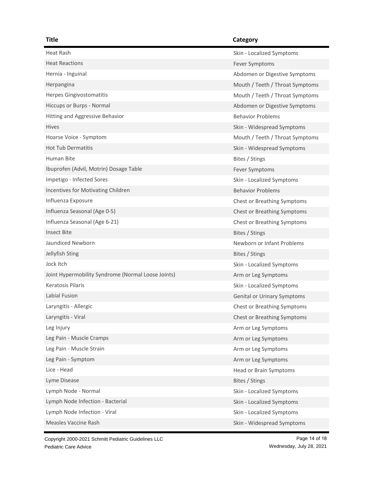### Heat Rash Skin - Localized Symptoms Heat Reactions **Fever Symptoms** Fever Symptoms Hernia - Inguinal Abdomen or Digestive Symptoms (Abdomen or Digestive Symptoms) Herpangina Mouth / Teeth / Throat Symptoms Herpes Gingivostomatitis **Mouth / Teeth / Throat Symptoms** Mouth / Teeth / Throat Symptoms Hiccups or Burps - Normal Abdomen or Digestive Symptoms (Abdomen or Digestive Symptoms) Hitting and Aggressive Behavior **Behavior** Behavior Problems Hives Skin - Widespread Symptoms Hoarse Voice - Symptom **Mouth / Teeth / Throat Symptoms** Mouth / Teeth / Throat Symptoms Hot Tub Dermatitis **Skin - Widespread Symptoms** Skin - Widespread Symptoms Human Bite **Bites / Stings** Bites / Stings Ibuprofen (Advil, Motrin) Dosage Table Fever Symptoms Fever Symptoms Impetigo - Infected Sores Skin - Localized Symptoms Incentives for Motivating Children Behavior Problems Behavior Problems Influenza Exposure Chest or Breathing Symptoms Influenza Seasonal (Age 0-5) Chest or Breathing Symptoms Chest or Breathing Symptoms Influenza Seasonal (Age 6-21) Chest or Breathing Symptoms Insect Bite **Bites / Stings** Jaundiced Newborn **Newborn 2008** Service of Newborn or Infant Problems Newborn or Infant Problems Jellyfish Sting Bites / Stings Jock Itch Skin - Localized Symptoms Joint Hypermobility Syndrome (Normal Loose Joints) Arm or Leg Symptoms Keratosis Pilaris Skin - Localized Symptoms (Skin - Localized Symptoms) Labial Fusion Genital or Urinary Symptoms Laryngitis - Allergic Chest or Breathing Symptoms Laryngitis - Viral Chest or Breathing Symptoms Leg Injury **Arm or Leg Symptoms Arm or Leg Symptoms** Leg Pain - Muscle Cramps **Arm or Leg Symptoms** Arm or Leg Symptoms Leg Pain - Muscle Strain Arm or Leg Symptoms Leg Pain - Symptom **Arm or Leg Symptoms** Arm or Leg Symptoms Lice - Head **National Accord Contract Contract Contract Contract Contract Contract Contract Contract Contract Contract Contract Contract Contract Contract Contract Contract Contract Contract Contract Contract Contract Cont** Lyme Disease Bites / Stings Lymph Node - Normal **Skin - Localized Symptoms** Lymph Node Infection - Bacterial Skin - Localized Symptoms (Skin - Localized Symptoms) Lymph Node Infection - Viral Skin - Localized Symptoms Measles Vaccine Rash Skin - Widespread Symptoms (Skin - Widespread Symptoms)

Copyright 2000-2021 Schmitt Pediatric Guidelines LLC Pediatric Care Advice

Page 14 of 18 Wednesday, July 28, 2021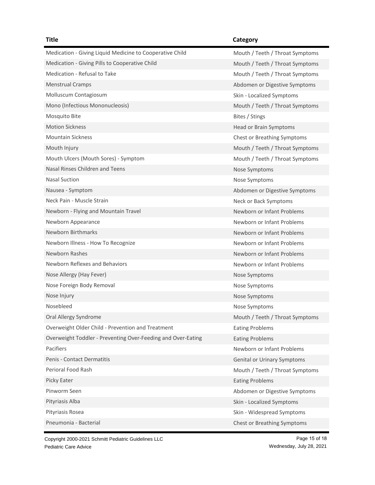### **Title Category** Medication - Giving Liquid Medicine to Cooperative Child Mouth / Teeth / Throat Symptoms Medication - Giving Pills to Cooperative Child Mouth / Teeth / Throat Symptoms Medication - Refusal to Take Mouth / Teeth / Throat Symptoms Menstrual Cramps **Abdomen or Digestive Symptoms** Abdomen or Digestive Symptoms Molluscum Contagiosum **Skin - Localized Symptoms** Skin - Localized Symptoms Mono (Infectious Mononucleosis) Mouth / Teeth / Throat Symptoms Mosquito Bite **Bites / Stings** and Mosquito Bites / Stings and Mosquito Bites / Stings and Mosquito Bites / Stings Motion Sickness **Head or Brain Symptoms** Mountain Sickness Chest or Breathing Symptoms Mouth Injury Mouth / Teeth / Throat Symptoms Mouth Ulcers (Mouth Sores) - Symptom Mouth / Teeth / Throat Symptoms Nasal Rinses Children and Teens Nose Symptoms Nose Symptoms Nasal Suction **Nasal Suction** Nose Symptoms Nausea - Symptom **Abdomen or Digestive Symptoms** Abdomen or Digestive Symptoms Neck Pain - Muscle Strain Neck or Back Symptoms Newborn - Flying and Mountain Travel Newborn or Infant Problems Newborn Appearance **Newborn Appearance** Newborn or Infant Problems Newborn Birthmarks **Newborn Birthmarks** Newborn or Infant Problems Newborn Illness - How To Recognize Newborn or Infant Problems Newborn Rashes Newborn Rashes Newborn Rashes Newborn Or Infant Problems Newborn or Infant Problems Newborn Reflexes and Behaviors Newborn or Infant Problems Nose Allergy (Hay Fever) Nose Symptoms Nose Symptoms Nose Foreign Body Removal and The Control of the Nose Symptoms Nose Symptoms Nose Injury Nose Symptoms and the United States of the United States of the United States of the United States Nosebleed Nose Symptoms and Nose Symptoms and Nose Symptoms and Nose Symptoms and Nose Symptoms and Nose Symptoms and Nose Symptoms and Nose Symptoms and Nose Symptoms and Nose Symptoms and Nose Symptoms and Nose Symptoms Oral Allergy Syndrome **Mouth / Teeth / Throat Symptoms** Mouth / Teeth / Throat Symptoms Overweight Older Child - Prevention and Treatment Fation Eating Problems Overweight Toddler - Preventing Over-Feeding and Over-Eating **Eating Problems** Pacifiers **Newborn or Infant Problems** Penis - Contact Dermatitis Contact Dermatitis Contact Dermatitis Genital or Urinary Symptoms Perioral Food Rash Mouth / Teeth / Throat Symptoms Picky Eater **Eating Problems Eating Problems** Pinworm Seen **Abdomen or Digestive Symptoms** Abdomen or Digestive Symptoms Pityriasis Alba Skin - Localized Symptoms (Skin - Localized Symptoms) Pityriasis Rosea Skin - Widespread Symptoms (Skin - Widespread Symptoms) Pneumonia - Bacterial Chest or Breathing Symptoms

Copyright 2000-2021 Schmitt Pediatric Guidelines LLC Pediatric Care Advice

Page 15 of 18 Wednesday, July 28, 2021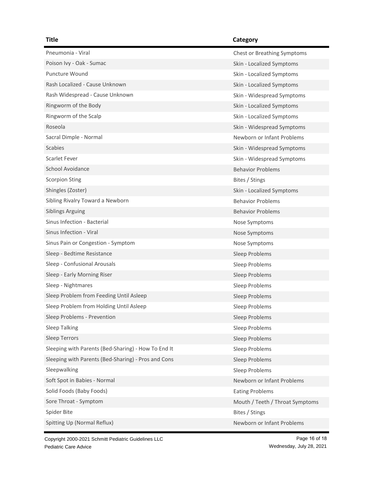| Pneumonia - Viral                                   | <b>Chest or Breathing Symptoms</b> |
|-----------------------------------------------------|------------------------------------|
| Poison Ivy - Oak - Sumac                            | Skin - Localized Symptoms          |
| <b>Puncture Wound</b>                               | Skin - Localized Symptoms          |
| Rash Localized - Cause Unknown                      | Skin - Localized Symptoms          |
| Rash Widespread - Cause Unknown                     | Skin - Widespread Symptoms         |
| Ringworm of the Body                                | Skin - Localized Symptoms          |
| Ringworm of the Scalp                               | Skin - Localized Symptoms          |
| Roseola                                             | Skin - Widespread Symptoms         |
| Sacral Dimple - Normal                              | Newborn or Infant Problems         |
| <b>Scabies</b>                                      | Skin - Widespread Symptoms         |
| Scarlet Fever                                       | Skin - Widespread Symptoms         |
| School Avoidance                                    | <b>Behavior Problems</b>           |
| <b>Scorpion Sting</b>                               | Bites / Stings                     |
| Shingles (Zoster)                                   | Skin - Localized Symptoms          |
| Sibling Rivalry Toward a Newborn                    | <b>Behavior Problems</b>           |
| <b>Siblings Arguing</b>                             | <b>Behavior Problems</b>           |
| Sinus Infection - Bacterial                         | Nose Symptoms                      |
| Sinus Infection - Viral                             | Nose Symptoms                      |
| Sinus Pain or Congestion - Symptom                  | Nose Symptoms                      |
| Sleep - Bedtime Resistance                          | Sleep Problems                     |
| Sleep - Confusional Arousals                        | Sleep Problems                     |
| Sleep - Early Morning Riser                         | Sleep Problems                     |
| Sleep - Nightmares                                  | Sleep Problems                     |
| Sleep Problem from Feeding Until Asleep             | Sleep Problems                     |
| Sleep Problem from Holding Until Asleep             | Sleep Problems                     |
| Sleep Problems - Prevention                         | Sleep Problems                     |
| <b>Sleep Talking</b>                                | Sleep Problems                     |
| Sleep Terrors                                       | Sleep Problems                     |
| Sleeping with Parents (Bed-Sharing) - How To End It | Sleep Problems                     |
| Sleeping with Parents (Bed-Sharing) - Pros and Cons | Sleep Problems                     |
| Sleepwalking                                        | Sleep Problems                     |
| Soft Spot in Babies - Normal                        | Newborn or Infant Problems         |
| Solid Foods (Baby Foods)                            | <b>Eating Problems</b>             |
| Sore Throat - Symptom                               | Mouth / Teeth / Throat Symptoms    |
| Spider Bite                                         | Bites / Stings                     |
| Spitting Up (Normal Reflux)                         | Newborn or Infant Problems         |

Copyright 2000-2021 Schmitt Pediatric Guidelines LLC Pediatric Care Advice

Page 16 of 18 Wednesday, July 28, 2021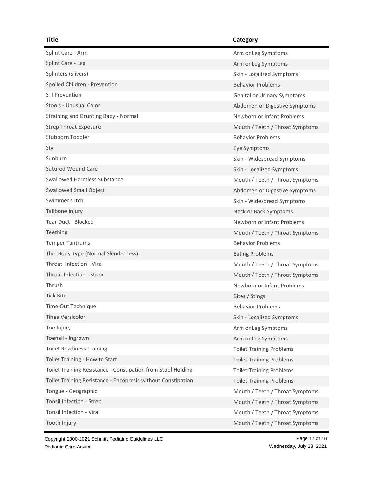| Splint Care - Arm                                            | Arm or Leg Symptoms             |
|--------------------------------------------------------------|---------------------------------|
| Splint Care - Leg                                            | Arm or Leg Symptoms             |
| Splinters (Slivers)                                          | Skin - Localized Symptoms       |
| Spoiled Children - Prevention                                | <b>Behavior Problems</b>        |
| <b>STI Prevention</b>                                        | Genital or Urinary Symptoms     |
| Stools - Unusual Color                                       | Abdomen or Digestive Symptoms   |
| Straining and Grunting Baby - Normal                         | Newborn or Infant Problems      |
| <b>Strep Throat Exposure</b>                                 | Mouth / Teeth / Throat Symptoms |
| Stubborn Toddler                                             | <b>Behavior Problems</b>        |
| Sty                                                          | Eye Symptoms                    |
| Sunburn                                                      | Skin - Widespread Symptoms      |
| <b>Sutured Wound Care</b>                                    | Skin - Localized Symptoms       |
| <b>Swallowed Harmless Substance</b>                          | Mouth / Teeth / Throat Symptoms |
| <b>Swallowed Small Object</b>                                | Abdomen or Digestive Symptoms   |
| Swimmer's Itch                                               | Skin - Widespread Symptoms      |
| Tailbone Injury                                              | Neck or Back Symptoms           |
| <b>Tear Duct - Blocked</b>                                   | Newborn or Infant Problems      |
| Teething                                                     | Mouth / Teeth / Throat Symptoms |
| <b>Temper Tantrums</b>                                       | <b>Behavior Problems</b>        |
| Thin Body Type (Normal Slenderness)                          | <b>Eating Problems</b>          |
| Throat Infection - Viral                                     | Mouth / Teeth / Throat Symptoms |
| Throat Infection - Strep                                     | Mouth / Teeth / Throat Symptoms |
| Thrush                                                       | Newborn or Infant Problems      |
| <b>Tick Bite</b>                                             | Bites / Stings                  |
| Time-Out Technique                                           | <b>Behavior Problems</b>        |
| <b>Tinea Versicolor</b>                                      | Skin - Localized Symptoms       |
| Toe Injury                                                   | Arm or Leg Symptoms             |
| Toenail - Ingrown                                            | Arm or Leg Symptoms             |
| <b>Toilet Readiness Training</b>                             | <b>Toilet Training Problems</b> |
| Toilet Training - How to Start                               | <b>Toilet Training Problems</b> |
| Toilet Training Resistance - Constipation from Stool Holding | <b>Toilet Training Problems</b> |
| Toilet Training Resistance - Encopresis without Constipation | <b>Toilet Training Problems</b> |
| Tongue - Geographic                                          | Mouth / Teeth / Throat Symptoms |
| Tonsil Infection - Strep                                     | Mouth / Teeth / Throat Symptoms |
| Tonsil Infection - Viral                                     | Mouth / Teeth / Throat Symptoms |
| Tooth Injury                                                 | Mouth / Teeth / Throat Symptoms |

Copyright 2000-2021 Schmitt Pediatric Guidelines LLC Pediatric Care Advice

Page 17 of 18 Wednesday, July 28, 2021